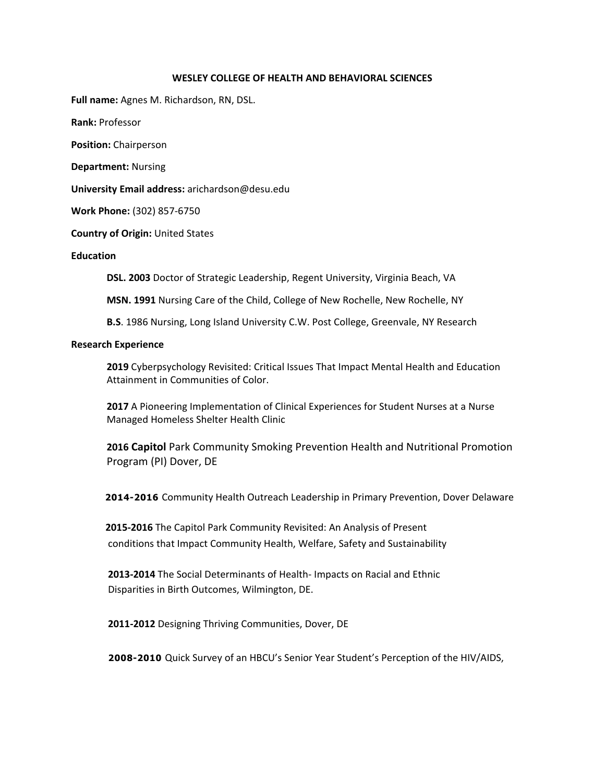#### **WESLEY COLLEGE OF HEALTH AND BEHAVIORAL SCIENCES**

**Full name:** Agnes M. Richardson, RN, DSL.

**Rank:** Professor

**Position:** Chairperson

**Department:** Nursing

**University Email address:** arichardson@desu.edu

**Work Phone:** (302) 857‐6750

**Country of Origin:** United States

**Education** 

**DSL. 2003** Doctor of Strategic Leadership, Regent University, Virginia Beach, VA

**MSN. 1991** Nursing Care of the Child, College of New Rochelle, New Rochelle, NY

**B.S**. 1986 Nursing, Long Island University C.W. Post College, Greenvale, NY Research

#### **Research Experience**

**2019** Cyberpsychology Revisited: Critical Issues That Impact Mental Health and Education Attainment in Communities of Color.

**2017** A Pioneering Implementation of Clinical Experiences for Student Nurses at a Nurse Managed Homeless Shelter Health Clinic

**2016 Capitol** Park Community Smoking Prevention Health and Nutritional Promotion Program (PI) Dover, DE

 **2014-2016** Community Health Outreach Leadership in Primary Prevention, Dover Delaware

 **2015‐2016** The Capitol Park Community Revisited: An Analysis of Present conditions that Impact Community Health, Welfare, Safety and Sustainability

 **2013‐2014** The Social Determinants of Health‐ Impacts on Racial and Ethnic Disparities in Birth Outcomes, Wilmington, DE.

 **2011‐2012** Designing Thriving Communities, Dover, DE

 **2008-2010** Quick Survey of an HBCU's Senior Year Student's Perception of the HIV/AIDS,